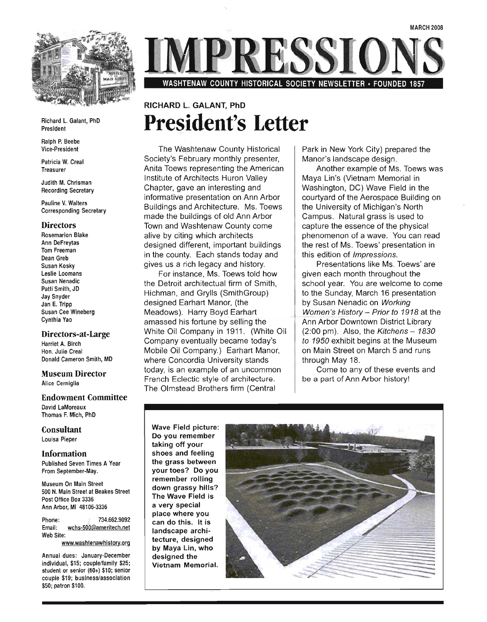

Richard L. Galant, PhD President

Ralph P. Beebe Vice-President

Patricia W. Creal Treasurer

Judith M. Chrisman Recording Secretary

Pauline V. Walters Corresponding Secretary

#### **Directors**

Rosemarion Blake Ann DeFreytas Tom Freeman Dean Greb Susan Kosky Leslie Loomans Susan Nenadic Patti Smith, JD Jay Snyder Jan E. Tripp Susan Cee Wineberg Cynthia Yao

#### Directors-at-Large

Harriet A. Birch Hon. Julie Creal Donald Cameron Smith, MD

#### Museum Director Alice Cerniglia

Endowment Committee

David LaMoreaux Thomas F. Mich, PhD

Consultant Louisa Pieper

Information Published Seven Times A Year From September-May.

Museum On Main Street uscum On Main Street<br>10 N. Maia Street at Beakes Street  $P$ o IV. Maill Ottoot Bt DV Post Office Box 3336<br>Ann Arbor, MI 48106-3336

Phone: 734.662.9092 Email: wchs-500@ameritech.net Web Site:

www.washtenawhistory.org

Annual dues: January-December individual, \$15; couple/family \$25; student or senior (60+) \$10; senior student or senior  $(60+)$  \$10; senior couple \$19; business/association<br>\$50; patron \$100.

RESSIC

WASHTENAW COUNTY HISTORICAL SOCIETY NEWSLETTER· FOUNDED 1857

# RICHARD L. GALANT, PhD **President's Letter**

The Washtenaw County Historical Society's February monthly presenter, Anita Toews representing the American Institute of Architects Huron Valley Chapter, gave an interesting and informative presentation on Ann Arbor Buildings and Architecture. Ms. Toews made the buildings of old Ann Arbor Town and Washtenaw County come alive by citing which architects designed different, important buildings in the county. Each stands today and gives us a rich legacy and history.

For instance, Ms. Toews told how the Detroit architectual firm of Smith, Hichman, and Grylls (Smith Group) designed Earhart Manor, (the Meadows). Harry Boyd Earhart amassed his fortune by selling the White Oil Company in 1911. (White Oil Company eventually became today's Mobile Oil Company.) Earhart Manor, where Concordia University stands today, is an example of an uncommon French Eclectic style of architecture. The Olmstead Brothers firm (Central

Park in New York City) prepared the Manor's landscape design.

Another example of Ms. Toews was Maya Lin's (Vietnam Memorial in Washington, DC) Wave Field in the courtyard of the Aerospace Building on the University of Michigan's North Campus. Natural grass is used to capture the essence of the physical phenomenon of a wave. You can read the rest of Ms. Toews' presentation in this edition of Impressions.

Presentations like Ms. Toews' are given each month throughout the school year. You are welcome to come to the Sunday, March 16 presentation by Susan Nenadic on Working Women's History - Prior to 1918 at the Ann Arbor Downtown District Library  $(2:00 \text{ pm})$ . Also, the Kitchens - 1830 to 1950 exhibit begins at the Museum on Main Street on March 5 and runs through May 18.

Come to any of these events and be a part of Ann Arbor history!

Wave Field picture: ave rien picture.<br>Alian remember u you remembe<br>thing off your taking off your<br>shoes and feeling the grass between your toes? Do you remember rolling down grassy hills? The Wave Field is a very special place where you can do this. It is landscape architecture, designed by Maya Lin, who designed the Vietnam Memorial.

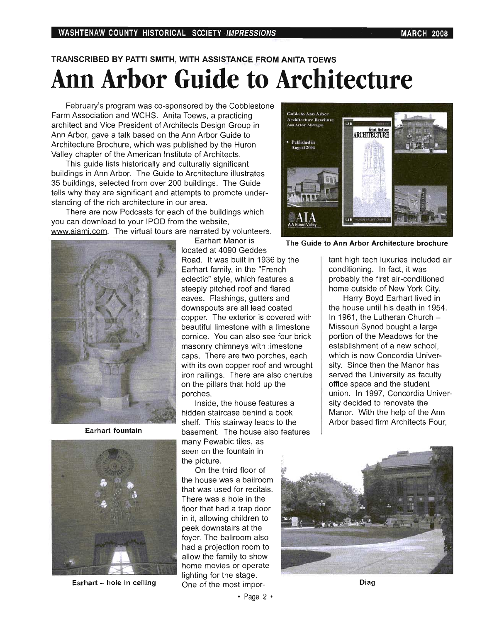# TRANSCRIBED BY PATTI SMITH, WITH ASSISTANCE FROM ANITA TOEWS **Ann Arbor Guide to Architecture**

February's program was co-sponsored by the Cobblestone Farm Association and WCHS. Anita Toews, a practicing architect and Vice President of Architects Design Group in Ann Arbor, gave a talk based on the Ann Arbor Guide to Architecture Brochure, which was published by the Huron Valley chapter of the American Institute of Architects.

This guide lists historically and culturally significant buildings in Ann Arbor. The Guide to Architecture illustrates 35 buildings, selected from over 200 buildings. The Guide tells why they are significant and attempts to promote understanding of the rich architecture in our area.

There are now Podcasts for each of the buildings which you can download to your IPOD from the website, www.aiami.com. The virtual tours are narrated by volunteers.



Earhart fountain



Earhart - hole in ceiling

Earhart Manor is

located at 4090 Geddes Road. It was built in 1936 by the Earhart family, in the "French eclectic" style, which features a steeply pitched roof and flared eaves. Flashings, gutters and downspouts are all lead coated copper. The exterior is covered with beautiful limestone with a limestone cornice. You can also see four brick masonry chimneys with limestone caps. There are two porches, each with its own copper roof and wrought iron railings. There are also cherubs on the pillars that hold up the porches.

Inside, the house features a hidden staircase behind a book shelf. This stairway leads to the basement. The house also features many Pewabic tiles, as seen on the fountain in the picture.

On the third floor of the house was a ballroom that was used for recitals. There was a hole in the floor that had a trap door in it, allowing children to peek downstairs at the foyer. The ballroom also had a projection room to allow the family to show home movies or operate lighting for the stage. One of the most impor-



The Guide to Ann Arbor Architecture brochure

tant high tech luxuries included air conditioning. In fact, it was probably the first air-conditioned home outside of New York City.

Harry Boyd Earhart lived in the house until his death in 1954. In 1961, the Lutheran Church -Missouri Synod bought a large portion of the Meadows for the establishment of a new school, which is now Concordia University. Since then the Manor has served the University as faculty office space and the student union. In 1997, Concordia University decided to renovate the Manor. With the help of the Ann Arbor based firm Architects Four,



Diag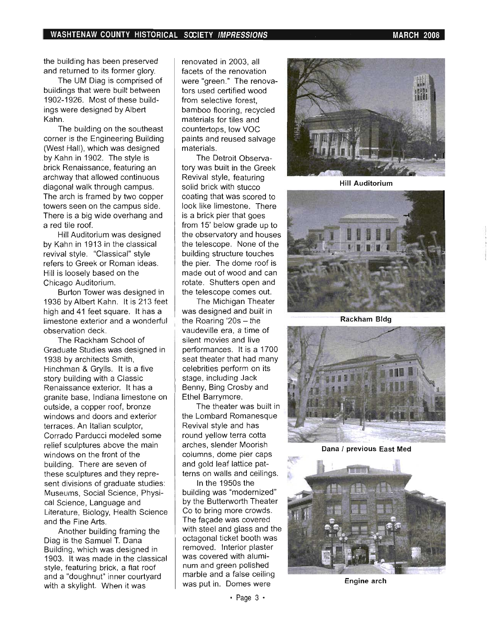. ,

the building has been preserved and returned to its former glory.

The UM Diag is comprised of buildings that were built between 1902-1926. Most of these buildings were designed by Albert Kahn.

The building on the southeast corner is the Engineering Building (West Hall), which was designed by Kahn in 1902. The style is brick Renaissance, featuring an archway that allowed continuous diagonal walk through campus. The arch is framed by two copper towers seen on the campus side. There is a big wide overhang and a red tile roof.

Hill Auditorium was designed by Kahn in 1913 in the classical revival style. "Classical" style refers to Greek or Roman ideas. Hill is loosely based on the Chicago Auditorium.

Burton Tower was designed in 1936 by Albert Kahn. It is 213 feet high and 41 feet square. It has a limestone exterior and a wonderful observation deck.

The Rackham School of Graduate Studies was designed in 1938 by architects Smith, Hinchman & Grylls. It is a five story building with a Classic Renaissance exterior. It has a granite base, Indiana limestone on outside, a copper roof, bronze windows and doors and exterior terraces. An Italian sculptor, Corrado Parducci modeled some relief sculptures above the main windows on the front of the building. There are seven of these sculptures and they represent divisions of graduate studies: Museums, Social Science, Physical Science, Language and Literature, Biology, Health Science and the Fine Arts.

Another building framing the Diag is the Samuel T. Dana Building, which was designed in 1903. It was made in the classical style, featuring brick, a flat roof and a "doughnut" inner courtyard with a skylight. When it was

renovated in 2003, all facets of the renovation were "green ." The renovators used certified wood from selective forest, bamboo flooring, recycled materials for tiles and countertops, low VOC paints and reused salvage materials.

The Detroit Observatory was built in the Greek Revival style, featuring solid brick with stucco coating that was scored to look like limestone. There is a brick pier that goes from 15' below grade up to the observatory and houses the telescope. None of the building structure touches the pier. The dome roof is made out of wood and can rotate. Shutters open and the telescope comes out.

The Michigan Theater was designed and built in the Roaring '20s - the vaudeville era, a time of silent movies and live performances. It is a 1700 seat theater that had many celebrities perform on its stage. including Jack Benny, Bing Crosby and Ethel Barrymore.

The theater was built in the Lombard Romanesque Revival style and has round yellow terra cotta arches, slender Moorish columns, dome pier caps and gold leaf lattice patterns on walls and ceilings.

In the 1950s the building was "modernized" by the Butterworth Theater Co to bring more crowds. The façade was covered with steel and glass and the octagonal ticket booth was removed. Interior plaster was covered with aluminum and green polished marble and a false ceiling was put in. Domes were



Hill Auditorium



**Rackham Bldg** 



Dana / previous East Med



Engine arch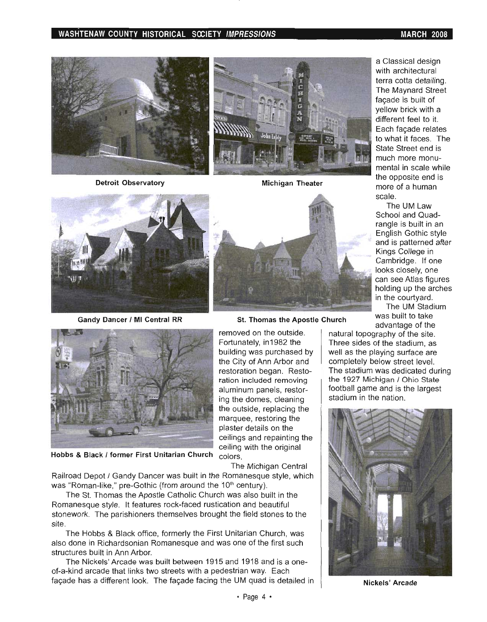#### **WASHTENAW COUNTY HISTORICAL SOCIETY IMPRESSIONS MARCH 2008**









**Hobbs & Black I former First Unitarian Church** colors.

The Michigan Central

Railroad Depot / Gandy Dancer was built in the Romanesque style, which was "Roman-like," pre-Gothic (from around the 10<sup>th</sup> century).

The St. Thomas the Apostle Catholic Church was also built in the Romanesque style. It features rock-faced rustication and beautiful stonework. The parishioners themselves brought the field stones to the site.

The Hobbs & Black office, formerly the First Unitarian Church, was also done in Richardsonian Romanesque and was one of the first such structures built in Ann Arbor.

The Nickels' Arcade was built between 1915 and 1918 and is a oneof-a-kind arcade that links two streets with a pedestrian way. Each façade has a different look. The façade facing the UM quad is detailed in



**Gandy Dancer / MI Central RR St. Thomas the Apostle Church Was built to take** 

removed on the outside. Fortunately, in 1982 the building was purchased by the City of Ann Arbor and restoration began. Restoration included removing aluminum panels, restoring the domes, cleaning the outside, replacing the marquee, restoring the plaster details on the ceilings and repainting the ceiling with the original

a Classical design with architectural terra cotta detailing. The Maynard Street façade is built of yellow brick with a different feel to it. Each façade relates to what it faces. The State Street end is much more monumental in scale while the opposite end is more of a human scale.

The UM Law School and Quadrangle is built in an English Gothic style and is patterned after Kings College in Cambridge. If one looks closely, one can see Atlas figures holding up the arches in the courtyard.

The UM Stadium advantage of the

natural topography of the site. Three sides of the stadium, as well as the playing surface are completely below street level. The stadium was dedicated during the 1927 Michigan / Ohio State football game and is the largest stadium in the nation.



**Nickels' Arcade**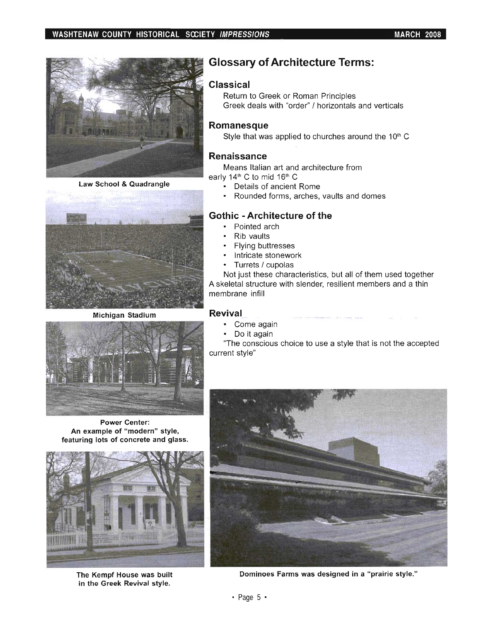

**Law School & Quadrangle** 



**Michigan Stadium** 



**Power Center:** An example of "modern" style, featuring lots of concrete and glass.



**The Kempf House was built in the Greek Revival style.** 

# **Glossary of Architecture Terms:**

### **Classical**

Return to Greek or Roman Principles Greek deals with "order" / horizontals and verticals

### **Romanesque**

Style that was applied to churches around the  $10<sup>th</sup>$  C

### **Renaissance**

Means Italian art and architecture from early  $14<sup>th</sup>$  C to mid  $16<sup>th</sup>$  C

- 
- Details of ancient Rome
- Rounded forms, arches, vaults and domes

### **Gothic - Architecture of the**

- Pointed arch
- Rib vaults
- Flying buttresses
- Intricate stonework
- Turrets / cupolas

Not just these characteristics, but all of them used together A skeletal structure with slender, resilient members and a thin membrane infill

#### **Revival**

- Come again
- Do it again

'The conscious choice to use a style that is not the accepted current style"



**Dominoes Farms was designed in a "prairie style."**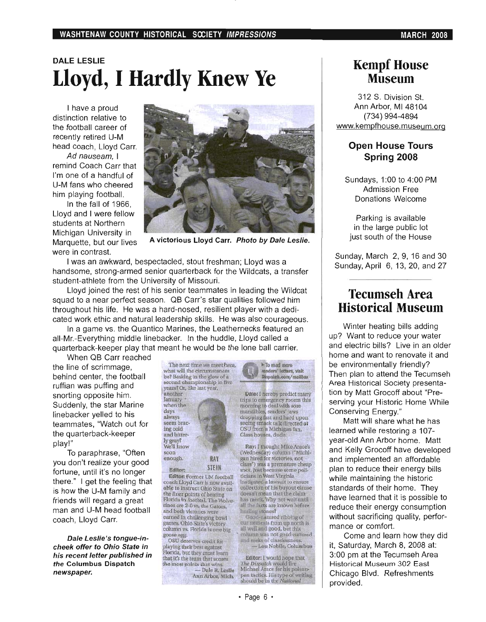# **DALE LESLIE Lloyd, I Hardly Knew Ye**

I have a proud distinction relative to the football career of recently retired U-M head coach, Lloyd Carr.

*Ad nauseam,* I remind Coach Carr that I'm one of a handful of U-M fans who cheered him playing football.

In the fall of 1966, Lloyd and I were fellow students at Northern Michigan University in Marquette, but our lives were in contrast.



A victorious Lloyd Carr. Photo by Dale Leslie.

I was an awkward, bespectacled, stout freshman; Lloyd was a handsome, strong-armed senior quarterback for the Wildcats, a transfer student-athlete from the University of Missouri.

Lloyd joined the rest of his senior teammates in leading the Wildcat squad to a near perfect season. QB Carr's star qualities followed him throughout his life. He was a hard-nosed, resilient player with a dedicated work ethic and natural leadership skills. He was also courageous.

In a game vs. the Quantico Marines, the Leathernecks featured an all-Mr.-Everything middle linebacker. In the huddle, Lloyd called a quarterback-keeper play that meant he would be the lone ball carrier.

When QB Carr reached

the line of scrimmage, behind center, the football ruffian was puffing and snorting opposite him. Suddenly, the star Marine linebacker yelled to his teammates, "Watch out for the quarterback-keeper play!"

To paraphrase, "Often you don't realize your good fortune, until it's no longer there." I get the feeling that is how the U-M family and friends will regard a great man and U-M head football coach, Lloyd Carr.

Dale Leslie's tongue-incheek offer to Ohio State in his recent letter published in the Columbus Dispatch newspaper.

The next time we meet here, what will the circumstances be? Basking in the glow of a<br>second championship in five years? Or, like last year.<br>another **January** when the days <sup>&</sup>lt; always seem brac-

ing cold and bitterly gray?<br>We'll know soon enough. RAY

Editor: STEIN Editor: Fonner UM fooiball coach Lloyd Carr is now avail-<br>able to instruct Ohio State on the finer points of beating<br>Florida in football. The Wolverines are 2-0 vs. the Gators, and both victories were earned in challenging bowl<br>games. Ohio State's victory column vs. Florida is one big<br>goose egg. .<br>OSU deserves credit for playing their best against Florida, but they must learn that *it's* the team that scores the most points that wins.

- Dale R. Leslie Ann Arbor, Mich.



Dale: I heroby predict tnany trips to emergency rooms this morning to deal with sore mandibles, readers' jaws<br>dropping fast and hard upon seeing smack talk ilirected at OSU from a Michigan fan. Glass houses, dude.

Ray: I thought Mike Arace's (Wednesday) column ("Michigan hired for victories, not class") was a premature cheap shot, just because some poll-<br>ticians in West Virginia Instigated a lawsuit to ensure collection of his buyout clause doesn't mean that the claimhas merit. Why not wait until all the facts are known before

harling stones?<br>600d-natured ribbing of<br>our nemes is from up north is our nemests from up north is<br>all well and good, but this rolumn was not good-natured<br>and reeks of classicssness. - Lou Nobile, Columbus

Editor: I would hope that he Dispatch would fire Michael Arace for his poisonpen tactics. His type of writing<br>should be in the National

# Kempf House **Museum**

312 S. Division St. Ann Arbor, MI 48104 (734) 994-4894 www.kempfhouse.museum.org

### **Open House Tours Spring 2008**

Sundays, 1:00 to 4:00 PM Admission Free Donations Welcome

Parking is available in the large public lot just south of the House

Sunday, March 2, 9, 16 and 30 Sunday, April 6, 13, 20, and 27

# **Tecumseh Area Historical Museum**

Winter heating bills adding up? Want to reduce your water and electric bills? Live in an older home and want to renovate it and be environmentally friendly? Then plan to attend the Tecumseh Area Historical Society presentation by Matt Grocoff about "Preserving your Historic Home While Conserving Energy."

Matt will share what he has learned while restoring a 107 year-old Ann Arbor home. Matt and Kelly Grocoff have developed and implemented an affordable plan to reduce their energy bills while maintaining the historic standards of their home. They have learned that it is possible to reduce their energy consumption without sacrificing quality, performance or comfort.

Come and learn how they did it, Saturday, March 8, 2008 at: 3:00 pm at the Tecumseh Area Historical Museum 302 East Chicago Blvd. Refreshments provided.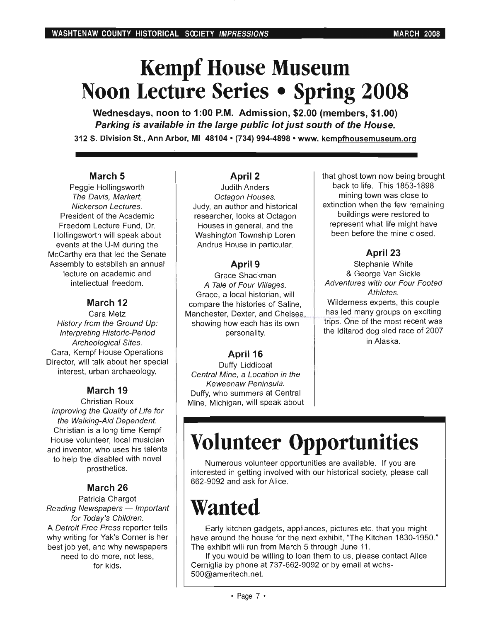# **Kempf House Museum Noon Lecture Series • Spring 2008**

Wednesdays, noon to 1:00 P.M. Admission, \$2.00 (members, \$1.00) Parking is available in the large public lot just south of the House. 312 S. Division St., Ann Arbor, MI 48104· (734) 994-4898 • www. kempfhousemuseum.org

### March 5

Peggie Hollingsworth The Davis, Markert, Nickerson Lectures. President of the Academic Freedom Lecture Fund, Dr. Hollingsworth will speak about events at the U-M during the McCarthy era that led the Senate Assembly to establish an annual lecture on academic and intellectual freedom.

## March 12

Cara Metz History from the Ground Up: Interpreting Historic-Period Archeological Sites. Cara, Kempf House Operations Director, will talk about her special interest, urban archaeology.

## March 19

Christian Roux Improving the Quality of Life for the Walking-Aid Dependent. Christian is a long time Kempf House volunteer, local musician and inventor, who uses his talents to help the disabled with novel prosthetics.

## March 26

Patricia Chargot Reading Newspapers - Important for Today's Children. A Detroit Free Press reporter tells why writing for Yak's Corner is her best job yet, and why newspapers need to do more, not less, for kids.

### April 2

Judith Anders Octagon Houses. Judy, an author and historical researcher, looks at Octagon Houses in general, and the Washington Township Loren Andrus House in particular.

## April 9

Grace Shackman A Tale of Four Vii/ages. Grace, a local historian, will compare the histories of Saline, Manchester, Dexter, and Chelsea, showing how each has its own personality.

### April 16

Duffy Liddicoat Central Mine, a Location in the Keweenaw Peninsula. Duffy, who summers at Central Mine, Michigan, will speak about that ghost town now being brought back to life. This 1853-1898 mining town was close to extinction when the few remaining buildings were restored to represent what life might have been before the mine closed.

## April 23

Stephanie White & George Van Sickle Adventures with our Four Footed Athletes. Wilderness experts, this couple has led many groups on exciting trips. One of the most recent was the Iditarod dog sled race of 2007 in Alaska.

# **Volunteer Opportunities**

Numerous volunteer opportunities are available. If you are interested in getting involved with our historical society, please call 662-9092 and ask for Alice.

# **Wanted**

Early kitchen gadgets, appliances, pictures etc. that you might have around the house for the next exhibit, "The Kitchen 1830-1950." The exhibit will run from March 5 through June 11.

If you would be willing to loan them to us, please contact Alice Cerniglia by phone at 737-662-9092 or by email at wchs-500@ameritech.net.